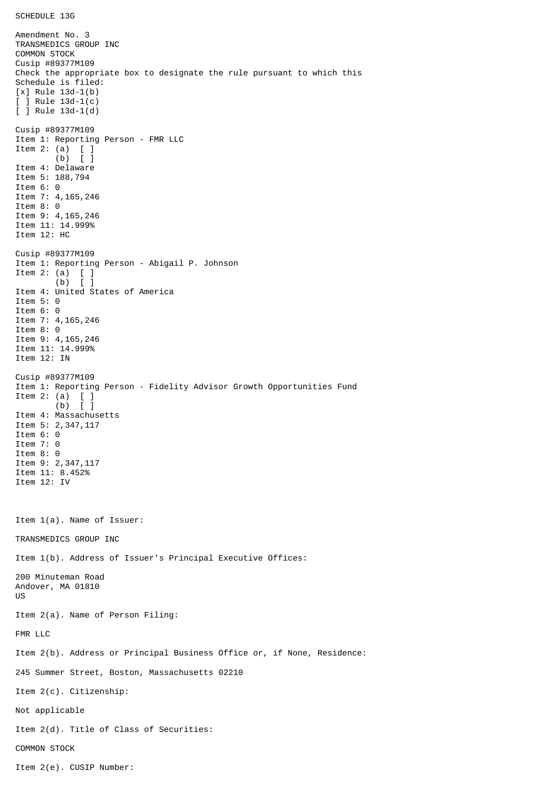Amendment No. 3 TRANSMEDICS GROUP INC COMMON STOCK Cusip #89377M109 Check the appropriate box to designate the rule pursuant to which this Schedule is filed: [x] Rule 13d-1(b) [ ] Rule 13d-1(c) [ ] Rule 13d-1(d) Cusip #89377M109 Item 1: Reporting Person - FMR LLC Item 2: (a) [ ] (b) [ ] Item 4: Delaware Item 5: 188,794 Item 6: 0 Item 7: 4,165,246 Item 8: 0 Item 9: 4,165,246 Item 11: 14.999% Item 12: HC Cusip #89377M109 Item 1: Reporting Person - Abigail P. Johnson Item 2: (a)  $\begin{bmatrix} 1 \\ 0 \end{bmatrix}$  $(b)$ Item 4: United States of America Item 5: 0 Item 6: 0 Item 7: 4,165,246 Item 8: 0 Item 9: 4,165,246 Item 11: 14.999% Item 12: IN Cusip #89377M109 Item 1: Reporting Person - Fidelity Advisor Growth Opportunities Fund Item 2: (a) [ ]  $(b)$   $\bar{1}$ Item 4: Massachusetts Item 5: 2, 347, 117 Item 6: 0 Item 7: 0 Item 8: 0 Item 9: 2,347,117 Item 11: 8.452% Item 12: IV Item 1(a). Name of Issuer: TRANSMEDICS GROUP INC Item 1(b). Address of Issuer's Principal Executive Offices: 200 Minuteman Road Andover, MA 01810 US Item 2(a). Name of Person Filing: FMR LLC Item 2(b). Address or Principal Business Office or, if None, Residence: 245 Summer Street, Boston, Massachusetts 02210 Item 2(c). Citizenship: Not applicable Item 2(d). Title of Class of Securities: COMMON STOCK Item 2(e). CUSIP Number: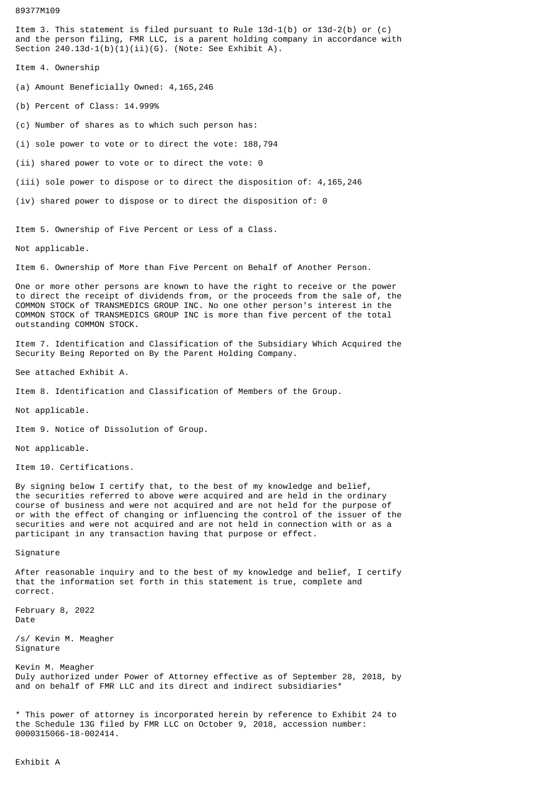89377M109

Item 3. This statement is filed pursuant to Rule 13d-1(b) or 13d-2(b) or (c) and the person filing, FMR LLC, is a parent holding company in accordance with Section  $240.13d-1(b)(1)(ii)(G)$ . (Note: See Exhibit A).

Item 4. Ownership

(a) Amount Beneficially Owned: 4,165,246

(b) Percent of Class: 14.999%

(c) Number of shares as to which such person has:

(i) sole power to vote or to direct the vote: 188,794

(ii) shared power to vote or to direct the vote: 0

(iii) sole power to dispose or to direct the disposition of: 4,165,246

(iv) shared power to dispose or to direct the disposition of: 0

Item 5. Ownership of Five Percent or Less of a Class.

Not applicable.

Item 6. Ownership of More than Five Percent on Behalf of Another Person.

One or more other persons are known to have the right to receive or the power to direct the receipt of dividends from, or the proceeds from the sale of, the COMMON STOCK of TRANSMEDICS GROUP INC. No one other person's interest in the COMMON STOCK of TRANSMEDICS GROUP INC is more than five percent of the total outstanding COMMON STOCK.

Item 7. Identification and Classification of the Subsidiary Which Acquired the Security Being Reported on By the Parent Holding Company.

See attached Exhibit A.

Item 8. Identification and Classification of Members of the Group.

Not applicable.

Item 9. Notice of Dissolution of Group.

Not applicable.

Item 10. Certifications.

By signing below I certify that, to the best of my knowledge and belief, the securities referred to above were acquired and are held in the ordinary course of business and were not acquired and are not held for the purpose of or with the effect of changing or influencing the control of the issuer of the securities and were not acquired and are not held in connection with or as a participant in any transaction having that purpose or effect.

Signature

After reasonable inquiry and to the best of my knowledge and belief, I certify that the information set forth in this statement is true, complete and correct.

February 8, 2022 Date

/s/ Kevin M. Meagher Signature

Kevin M. Meagher Duly authorized under Power of Attorney effective as of September 28, 2018, by and on behalf of FMR LLC and its direct and indirect subsidiaries\*

\* This power of attorney is incorporated herein by reference to Exhibit 24 to the Schedule 13G filed by FMR LLC on October 9, 2018, accession number: 0000315066-18-002414.